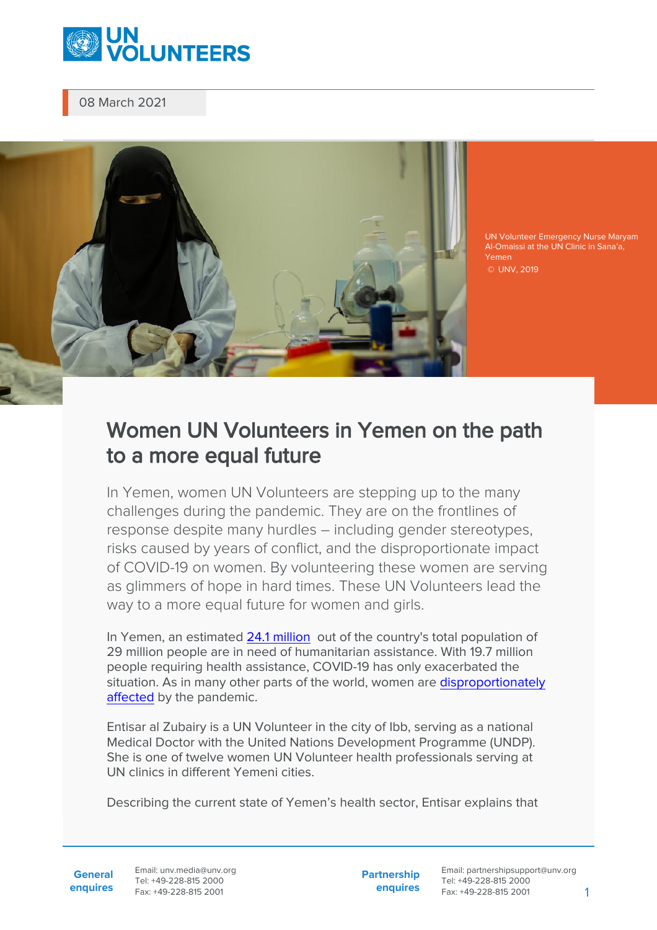

08 March 2021



UN Volunteer Emergency Nurse Maryam Al-Omaissi at the UN Clinic in Sana'a, Yemen © UNV, 2019

## Women UN Volunteers in Yemen on the path to a more equal future

In Yemen, women UN Volunteers are stepping up to the many challenges during the pandemic. They are on the frontlines of response despite many hurdles – including gender stereotypes, risks caused by years of conflict, and the disproportionate impact of COVID-19 on women. By volunteering these women are serving as glimmers of hope in hard times. These UN Volunteers lead the way to a more equal future for women and girls.

In Yemen, an estimated [24.1 million](https://www.who.int/health-cluster/countries/yemen/en/) out of the country's total population of 29 million people are in need of humanitarian assistance. With 19.7 million people requiring health assistance, COVID-19 has only exacerbated the situation. As in many other parts of the world, women are [disproportionately](https://arabstates.unwomen.org/en/digital-library/publications/2020/05/brief-priorities-for-gender-equality-in-yemen-covid19-response) [affected](https://arabstates.unwomen.org/en/digital-library/publications/2020/05/brief-priorities-for-gender-equality-in-yemen-covid19-response) by the pandemic.

Entisar al Zubairy is a UN Volunteer in the city of Ibb, serving as a national Medical Doctor with the United Nations Development Programme (UNDP). She is one of twelve women UN Volunteer health professionals serving at UN clinics in different Yemeni cities.

Describing the current state of Yemen's health sector, Entisar explains that

**General enquires** Email: unv.media@unv.org Tel: +49-228-815 2000 Fax: +49-228-815 2001

**Partnership enquires**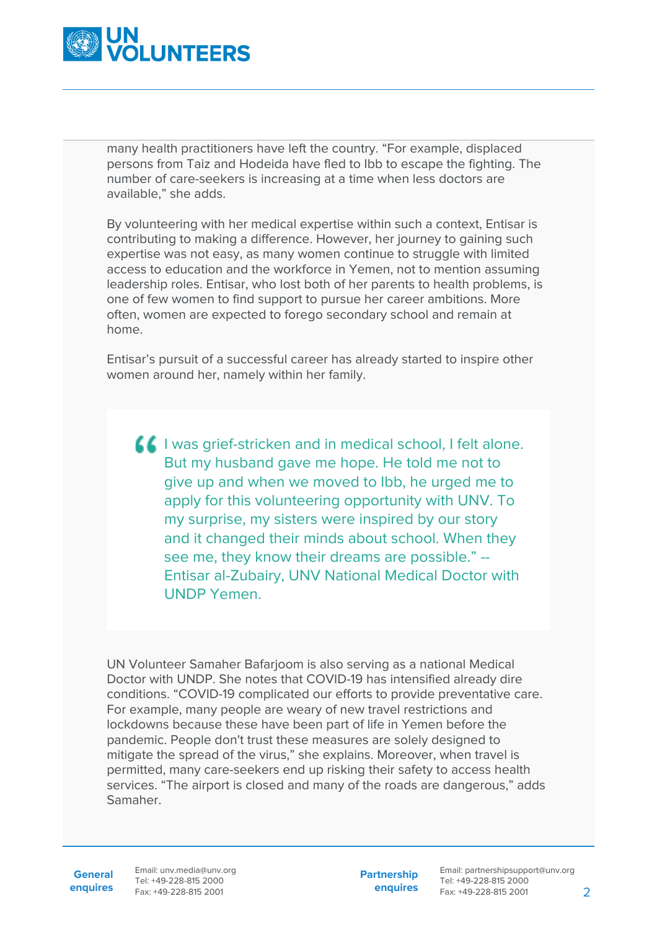

many health practitioners have left the country. "For example, displaced persons from Taiz and Hodeida have fled to Ibb to escape the fighting. The number of care-seekers is increasing at a time when less doctors are available," she adds.

By volunteering with her medical expertise within such a context, Entisar is contributing to making a difference. However, her journey to gaining such expertise was not easy, as many women continue to struggle with limited access to education and the workforce in Yemen, not to mention assuming leadership roles. Entisar, who lost both of her parents to health problems, is one of few women to find support to pursue her career ambitions. More often, women are expected to forego secondary school and remain at home.

Entisar's pursuit of a successful career has already started to inspire other women around her, namely within her family.

**I** I was grief-stricken and in medical school, I felt alone. But my husband gave me hope. He told me not to give up and when we moved to Ibb, he urged me to apply for this volunteering opportunity with UNV. To my surprise, my sisters were inspired by our story and it changed their minds about school. When they see me, they know their dreams are possible." -- Entisar al-Zubairy, UNV National Medical Doctor with UNDP Yemen.

UN Volunteer Samaher Bafarjoom is also serving as a national Medical Doctor with UNDP. She notes that COVID-19 has intensified already dire conditions. "COVID-19 complicated our efforts to provide preventative care. For example, many people are weary of new travel restrictions and lockdowns because these have been part of life in Yemen before the pandemic. People don't trust these measures are solely designed to mitigate the spread of the virus," she explains. Moreover, when travel is permitted, many care-seekers end up risking their safety to access health services. "The airport is closed and many of the roads are dangerous," adds Samaher.

**General**

**enquires** Fax: +49-228-815 2001 Email: unv.media@unv.org Tel: +49-228-815 2000

**Partnership enquires**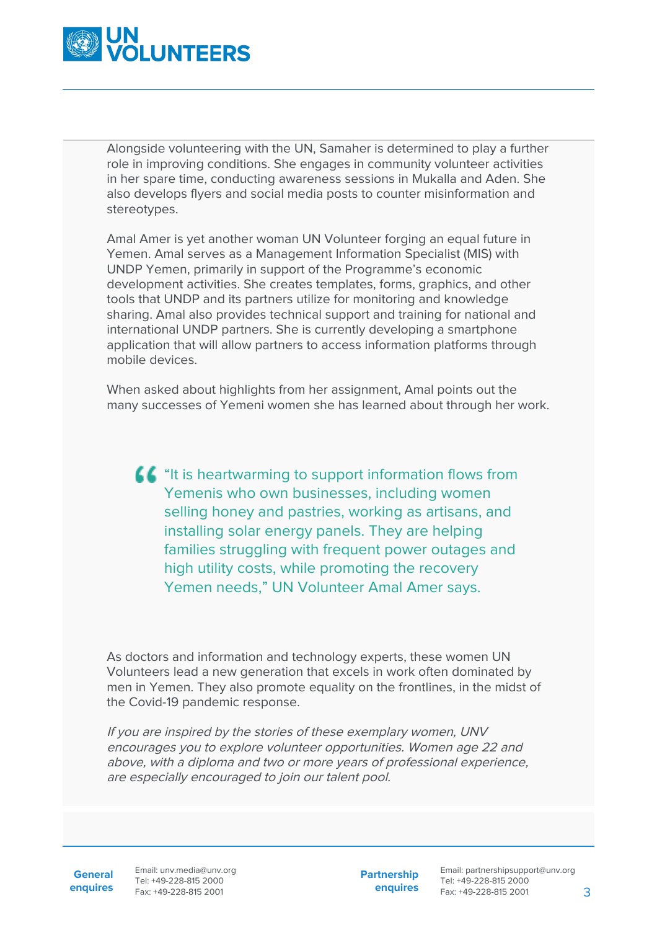

Alongside volunteering with the UN, Samaher is determined to play a further role in improving conditions. She engages in community volunteer activities in her spare time, conducting awareness sessions in Mukalla and Aden. She also develops flyers and social media posts to counter misinformation and stereotypes.

Amal Amer is yet another woman UN Volunteer forging an equal future in Yemen. Amal serves as a Management Information Specialist (MIS) with UNDP Yemen, primarily in support of the Programme's economic development activities. She creates templates, forms, graphics, and other tools that UNDP and its partners utilize for monitoring and knowledge sharing. Amal also provides technical support and training for national and international UNDP partners. She is currently developing a smartphone application that will allow partners to access information platforms through mobile devices.

When asked about highlights from her assignment, Amal points out the many successes of Yemeni women she has learned about through her work.

**CC** "It is heartwarming to support information flows from Yemenis who own businesses, including women selling honey and pastries, working as artisans, and installing solar energy panels. They are helping families struggling with frequent power outages and high utility costs, while promoting the recovery Yemen needs," UN Volunteer Amal Amer says.

As doctors and information and technology experts, these women UN Volunteers lead a new generation that excels in work often dominated by men in Yemen. They also promote equality on the frontlines, in the midst of the Covid-19 pandemic response.

If you are inspired by the stories of these exemplary women, UNV encourages you to explore volunteer opportunities. Women age 22 and above, with a diploma and two or more years of professional experience, are especially encouraged to join our talent pool.

General Email: unv.media@unv.org **enquires** Fax: +49-228-815 2001 Tel: +49-228-815 2000

**Partnership enquires**